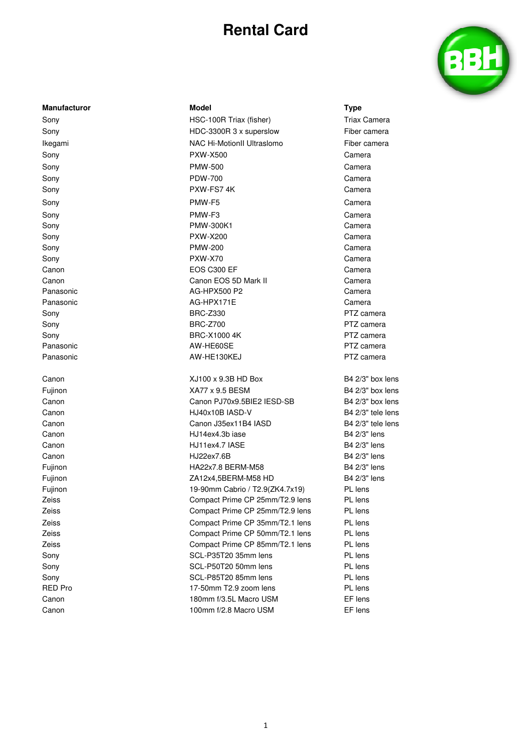

| Manufacturo |
|-------------|
| Sony        |
| Sony        |
| Ikegami     |
| Sony        |
| Sony        |
| Sony        |
| Sony        |
| Sony        |
| Sony        |
| Sony        |
| Sony        |
| Sony        |
| Sony        |
| Canon       |
| Canon       |
| Panasonic   |
| Panasonic   |
| Sony        |
| Sony        |
| Sony        |
| Panasonic   |
| Panasonic   |
| Canon       |
| Fujinon     |
| Canon       |
| Canon       |
| Canon       |
| Canon       |
| Canon       |
| Canon       |
|             |

### **Manufacturor Model Type**  HSC-100R Triax (fisher) Triax Camera HDC-3300R 3 x superslow Fiber camera **NAC Hi-MotionII Ultraslomo** Fiber camera Sony PXW-X500 Camera Sony PMW-500 Camera Sony PDW-700 Camera PXW-FS7 4K Camera Sony PMW-F5 Camera Sony PMW-F3 Camera PMW-300K1 Camera Sony PXW-X200 Camera Sony PMW-200 Camera Sony PXW-X70 Camera EOS C300 EF Camera Canon EOS 5D Mark II Camera AG-HPX500 P2 Camera AG-HPX171E Camera BRC-Z330 PTZ camera Sony BRC-Z700 PTZ camera BRC-X1000 4K PTZ camera AW-HE60SE PTZ camera AW-HE130KEJ PTZ camera  $XJ100 \times 9.3B$  HD Box B4 2/3" box lens KA77 x 9.5 BESM B4 2/3" box lens Canon PJ70x9.5BIE2 IESD-SB B4 2/3" box lens HJ40x10B IASD-V B4 2/3" tele lens Canon J35ex11B4 IASD B4 2/3" tele lens HJ14ex4.3b iase B4 2/3" lens HJ11ex4.7 IASE B4 2/3" lens Canon HJ22ex7.6B B4 2/3" lens Fujinon **Example 2018** BHA22x7.8 BERM-M58 B4 2/3" lens Fujinon ZA12x4,5BERM-M58 HD B4 2/3" lens Fujinon 19-90mm Cabrio / T2.9(ZK4.7x19) PL lens Zeiss Compact Prime CP 25mm/T2.9 lens PL lens Zeiss Compact Prime CP 25mm/T2.9 lens PL lens Zeiss Compact Prime CP 35mm/T2.1 lens PL lens Zeiss Compact Prime CP 50mm/T2.1 lens PL lens Zeiss Compact Prime CP 85mm/T2.1 lens PL lens Sony **SCL-P35T20 35mm lens** PL lens Sony **SCL-P50T20 50mm lens** PL lens Sony SCL-P85T20 85mm lens PL lens RED Pro 17-50mm T2.9 zoom lens PL lens Canon **180mm f/3.5L Macro USM** EF lens Canon 100mm f/2.8 Macro USM EF lens

1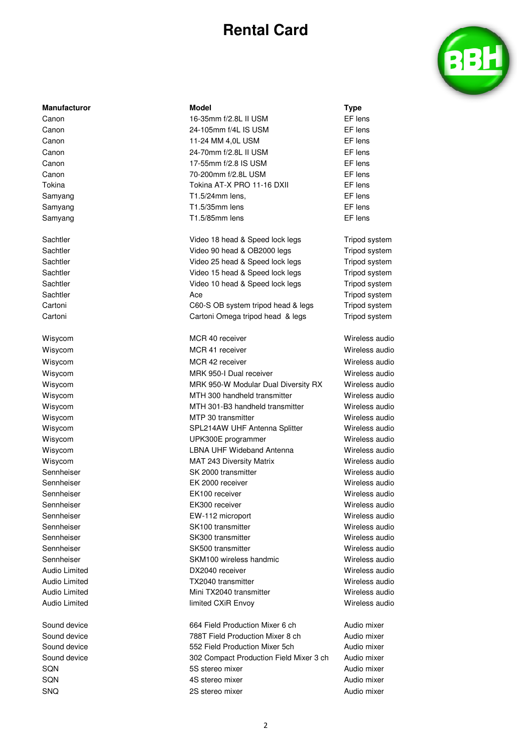

### **Manufacturor 1986 Model Model Model Type**

- Canon 16-35mm f/2.8L II USM EF lens Canon 24-105mm f/4L IS USM EF lens Canon **11-24 MM 4,0L USM EF lens** Canon **24-70mm f/2.8L II USM** EF lens Canon 17-55mm f/2.8 IS USM EF lens Canon 70-200mm f/2.8L USM EF lens Tokina Tokina AT-X PRO 11-16 DXII EF lens Samyang T1.5/24mm lens, EF lens Samyang **EF** lens T1.5/35mm lens **EF** lens Samyang **EF** lens T1.5/85mm lens **EF** lens
- Sachtler **Video 18 head & Speed lock legs** Tripod system Sachtler **Sachtler Sachtler Sachtler Sachtler Tripod system Video 90 head & OB2000 legs Tripod system** Sachtler **Sachtler** Constant Mideo 25 head & Speed lock legs Tripod system Sachtler **Sachtler** Constant Mideo 15 head & Speed lock legs Tripod system Sachtler **Sachtler Video 10 head & Speed lock legs** Tripod system Sachtler **Ace Sachtler Ace Sachtler** Tripod system Cartoni C60-S OB system tripod head & legs Tripod system Cartoni Cartoni Omega tripod head & legs Tripod system
- Wisycom **MCR 40 receiver** Wisycom **Wireless audio** Wisycom **MCR 41 receiver** Wireless audio Wireless audio Wisycom **MCR 42 receiver** Wisycom **Wireless** audio Wisycom **MRK 950-I Dual receiver Wireless audio** Wireless audio Wisycom **MRK 950-W Modular Dual Diversity RX** Wireless audio Wisycom **MTH 300 handheld transmitter** Wireless audio Wisycom MTH 301-B3 handheld transmitter Wireless audio Wisycom **MTP 30 transmitter** Wireless audio Wisycom **SPL214AW UHF Antenna Splitter** Wireless audio Wisycom UPK300E programmer Wireless audio Wisycom LBNA UHF Wideband Antenna Wireless audio Wisycom MAT 243 Diversity Matrix Wireless audio Sennheiser SK 2000 transmitter SK 2000 transmitter SK 2000 transmitter SK 2000 transmitter SK 2000 transmitter Sennheiser EK 2000 receiver Wireless audio Sennheiser EK100 receiver Wireless audio Sennheiser EK300 receiver Wireless audio Sennheiser EW-112 microport Wireless audio Sennheiser SK100 transmitter Wireless audio Sennheiser SK300 transmitter Wireless audio Sennheiser SK500 transmitter Wireless audio Sennheiser **SKM100** wireless handmic Wireless audio Audio Limited DX2040 receiver Wireless audio Audio Limited **TX2040** transmitter **TX2040** transmitter Wireless audio Audio Limited Mini TX2040 transmitter Wireless audio Audio Limited **Audio Limited CXIR Envoy** Communist Construction CXIR Envoy

Sound device **664 Field Production Mixer 6 ch** Audio mixer Sound device **788T** Field Production Mixer 8 ch Audio mixer Sound device **552 Field Production Mixer 5ch** Audio mixer Sound device **302 Compact Production Field Mixer 3 ch** Audio mixer SQN 5S stereo mixer Audio mixer SQN 4S stereo mixer Audio mixer SNQ 2S stereo mixer Audio mixer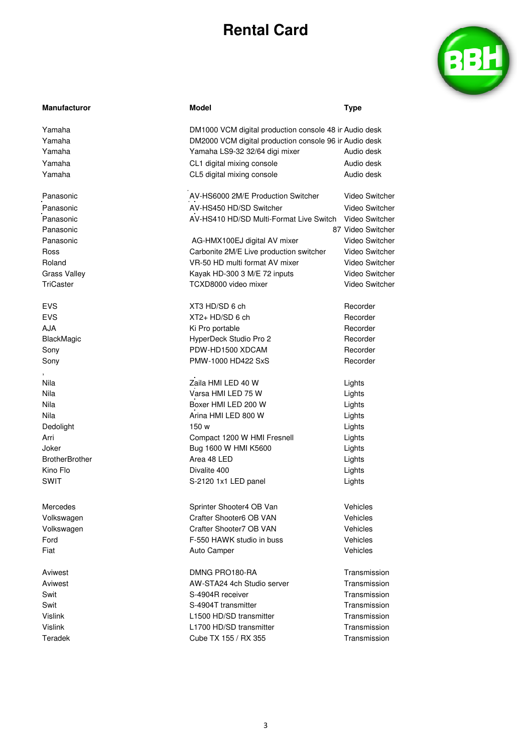

| <b>Manufacturor</b>   | <b>Model</b>                                           | Type                  |  |
|-----------------------|--------------------------------------------------------|-----------------------|--|
| Yamaha                | DM1000 VCM digital production console 48 in Audio desk |                       |  |
| Yamaha                | DM2000 VCM digital production console 96 in Audio desk |                       |  |
| Yamaha                | Yamaha LS9-32 32/64 digi mixer                         | Audio desk            |  |
| Yamaha                | CL1 digital mixing console                             | Audio desk            |  |
| Yamaha                | CL5 digital mixing console                             | Audio desk            |  |
|                       |                                                        |                       |  |
| Panasonic             | AV-HS6000 2M/E Production Switcher                     | Video Switcher        |  |
| Panasonic             | AV-HS450 HD/SD Switcher                                | Video Switcher        |  |
| Panasonic             | AV-HS410 HD/SD Multi-Format Live Switch                | Video Switcher        |  |
| Panasonic             |                                                        | 87 Video Switcher     |  |
| Panasonic             | AG-HMX100EJ digital AV mixer                           | <b>Video Switcher</b> |  |
| Ross                  | Carbonite 2M/E Live production switcher                | Video Switcher        |  |
| Roland                | VR-50 HD multi format AV mixer                         | Video Switcher        |  |
| <b>Grass Valley</b>   | Kayak HD-300 3 M/E 72 inputs                           | Video Switcher        |  |
| TriCaster             | TCXD8000 video mixer                                   | Video Switcher        |  |
| <b>EVS</b>            | XT3 HD/SD 6 ch                                         | Recorder              |  |
| <b>EVS</b>            | $XT2+HD/SD 6 ch$                                       | Recorder              |  |
| <b>AJA</b>            | Ki Pro portable                                        | Recorder              |  |
| BlackMagic            | HyperDeck Studio Pro 2                                 | Recorder              |  |
| Sony                  | PDW-HD1500 XDCAM                                       | Recorder              |  |
| Sony                  | PMW-1000 HD422 SxS                                     | Recorder              |  |
| Nila                  | Zaila HMI LED 40 W                                     | Lights                |  |
| Nila                  | Varsa HMI LED 75 W                                     | Lights                |  |
| Nila                  | Boxer HMI LED 200 W                                    | Lights                |  |
| Nila                  | Arina HMI LED 800 W                                    | Lights                |  |
| Dedolight             | 150 w                                                  | Lights                |  |
| Arri                  | Compact 1200 W HMI Fresnell                            | Lights                |  |
| Joker                 | Bug 1600 W HMI K5600                                   | Lights                |  |
| <b>BrotherBrother</b> | Area 48 LED                                            | Lights                |  |
| Kino Flo              | Divalite 400                                           | Lights                |  |
| <b>SWIT</b>           | S-2120 1x1 LED panel                                   | Lights                |  |
|                       |                                                        |                       |  |
| Mercedes              | Sprinter Shooter4 OB Van                               | Vehicles              |  |
| Volkswagen            | Crafter Shooter6 OB VAN                                | Vehicles              |  |
| Volkswagen            | Crafter Shooter7 OB VAN                                | Vehicles              |  |
| Ford                  | F-550 HAWK studio in buss                              | Vehicles              |  |
| Fiat                  | Auto Camper                                            | Vehicles              |  |
| Aviwest               | DMNG PRO180-RA                                         | Transmission          |  |
| Aviwest               | AW-STA24 4ch Studio server                             | Transmission          |  |
| Swit                  | S-4904R receiver                                       | Transmission          |  |
| Swit                  | S-4904T transmitter                                    | Transmission          |  |
| <b>Vislink</b>        | L1500 HD/SD transmitter                                | Transmission          |  |
| Vislink               | L1700 HD/SD transmitter                                | Transmission          |  |
| Teradek               | Cube TX 155 / RX 355                                   | Transmission          |  |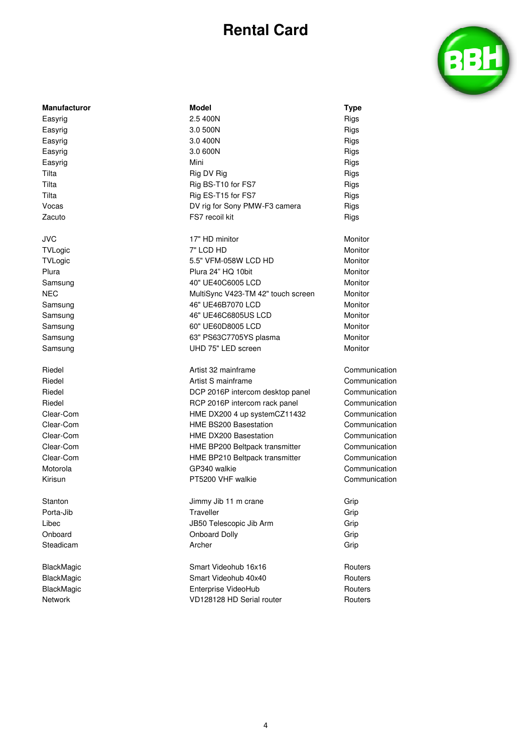

| <b>Manufacturor</b> | <b>Model</b>                  | <b>Type</b> |
|---------------------|-------------------------------|-------------|
| Easyrig             | 2.5 400N                      | Rigs        |
| Easyrig             | 3.0 500N                      | Rigs        |
| Easyrig             | 3.0 400N                      | Rigs        |
| Easyrig             | 3.0 600N                      | Rigs        |
| Easyrig             | Mini                          | Rigs        |
| Tilta               | Rig DV Rig                    | Rigs        |
| Tilta               | Rig BS-T10 for FS7            | Rigs        |
| Tilta               | Rig ES-T15 for FS7            | Rigs        |
| Vocas               | DV rig for Sony PMW-F3 camera | Rigs        |
| Zacuto              | FS7 recoil kit                | Rigs        |

JVC 17" HD minitor Monitor TVLogic 7" LCD HD Monitor TVLogic 6.5" VFM-058W LCD HD Monitor Plura **Plura 24" HQ 10bit** Monitor Monitor Samsung **40"** UE40C6005 LCD Monitor NEC MultiSync V423-TM 42" touch screen Monitor Samsung **46"** UE46B7070 LCD Monitor Samsung **46" UE46C6805US LCD** Monitor Samsung 60" UE60D8005 LCD Monitor Samsung **63" PS63C7705YS** plasma Samsung UHD 75" LED screen Monitor

Riedel **Artist 32 mainframe** Communication Riedel **Artist S** mainframe Communication **Communication** Riedel **Example 2016** PCP 2016P intercom desktop panel Communication Riedel **RCP 2016P** intercom rack panel Communication Clear-Com HME DX200 4 up systemCZ11432 Communication Clear-Com HME BS200 Basestation Communication Clear-Com HME DX200 Basestation Communication Clear-Com HME BP200 Beltpack transmitter Communication Clear-Com HME BP210 Beltpack transmitter Communication Motorola Communication Communication GP340 walkie Communication Communication Kirisun Communication **PT5200 VHF walkie** Communication

Stanton Grip Grip Jimmy Jib 11 m crane Grip Grip Porta-Jib Traveller Grip Libec JB50 Telescopic Jib Arm Grip Onboard Onboard Dolly Grip Steadicam Archer Grip

BlackMagic **BlackMagic** Smart Videohub 16x16 Routers BlackMagic **Smart Videohub 40x40** Routers Routers BlackMagic **Enterprise VideoHub** Routers Routers Network **Network Network VD128128 HD Serial router Routers** Routers